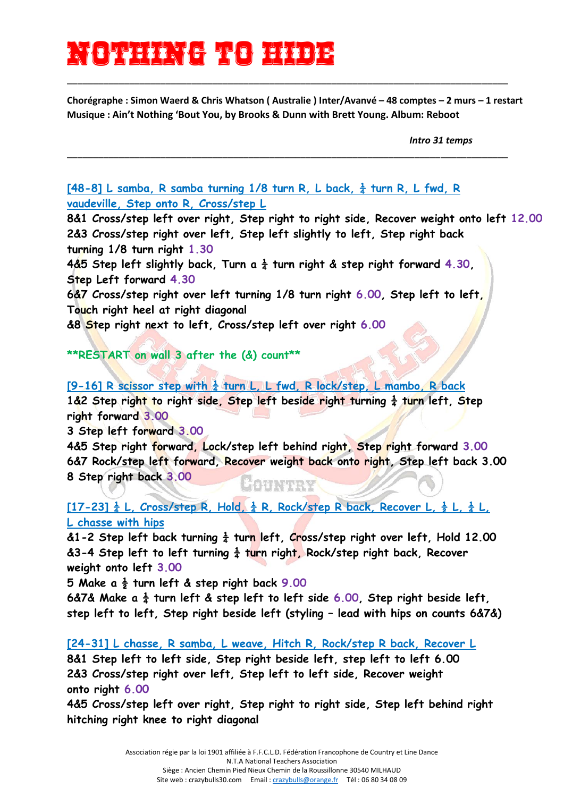## Nothing (6 7x0) 1423}<del>2</del>

**Chorégraphe : Simon Waerd & Chris Whatson ( Australie ) Inter/Avanvé – 48 comptes – 2 murs – 1 restart Musique : Ain't Nothing 'Bout You, by Brooks & Dunn with Brett Young. Album: Reboot**

\_\_\_\_\_\_\_\_\_\_\_\_\_\_\_\_\_\_\_\_\_\_\_\_\_\_\_\_\_\_\_\_\_\_\_\_\_\_\_\_\_\_\_\_\_\_\_\_\_\_\_\_\_\_\_\_\_\_\_\_\_\_\_\_\_\_\_\_\_\_\_\_\_\_\_\_\_\_\_\_\_\_\_\_\_

\_\_\_\_\_\_\_\_\_\_\_\_\_\_\_\_\_\_\_\_\_\_\_\_\_\_\_\_\_\_\_\_\_\_\_\_\_\_\_\_\_\_\_\_\_\_\_\_\_\_\_\_\_\_\_\_\_\_\_\_\_\_\_\_\_\_\_\_\_\_\_\_\_\_\_\_\_\_\_\_\_\_\_\_\_

*Intro 31 temps*

**[48-8] L samba, R samba turning 1/8 turn R, L back, ¼ turn R, L fwd, R vaudeville, Step onto R, Cross/step L**

**8&1 Cross/step left over right, Step right to right side, Recover weight onto left 12.00 2&3 Cross/step right over left, Step left slightly to left, Step right back turning 1/8 turn right 1.30**

**4&5** Step left slightly back, Turn a  $\frac{1}{4}$  turn right & step right forward 4.30, **Step Left forward 4.30**

**6&7 Cross/step right over left turning 1/8 turn right 6.00, Step left to left, Touch right heel at right diagonal**

**&8 Step right next to left, Cross/step left over right 6.00**

**\*\*RESTART on wall 3 after the (&) count\*\***

**[9-16] R scissor step with ¼ turn L, L fwd, R lock/step, L mambo, R back**

1&2 Step right to right side, Step left beside right turning  $\frac{1}{4}$  turn left, Step **right forward 3.00**

**3 Step left forward 3.00**

**4&5 Step right forward, Lock/step left behind right, Step right forward 3.00 6&7 Rock/step left forward, Recover weight back onto right, Step left back 3.00 8 Step right back 3.00** 88777744444

**[17-23] ¼ L, Cross/step R, Hold, ¼ R, Rock/step R back, Recover L, ½ L, ¼ L, L chasse with hips**

**&1-2 Step left back turning ¼ turn left, Cross/step right over left, Hold 12.00 &3-4 Step left to left turning ¼ turn right, Rock/step right back, Recover weight onto left 3.00**

**5 Make a ½ turn left & step right back 9.00**

**6&7& Make a ¼ turn left & step left to left side 6.00, Step right beside left, step left to left, Step right beside left (styling – lead with hips on counts 6&7&)**

**[24-31] L chasse, R samba, L weave, Hitch R, Rock/step R back, Recover L**

**8&1 Step left to left side, Step right beside left, step left to left 6.00 2&3 Cross/step right over left, Step left to left side, Recover weight onto right 6.00**

**4&5 Cross/step left over right, Step right to right side, Step left behind right hitching right knee to right diagonal**